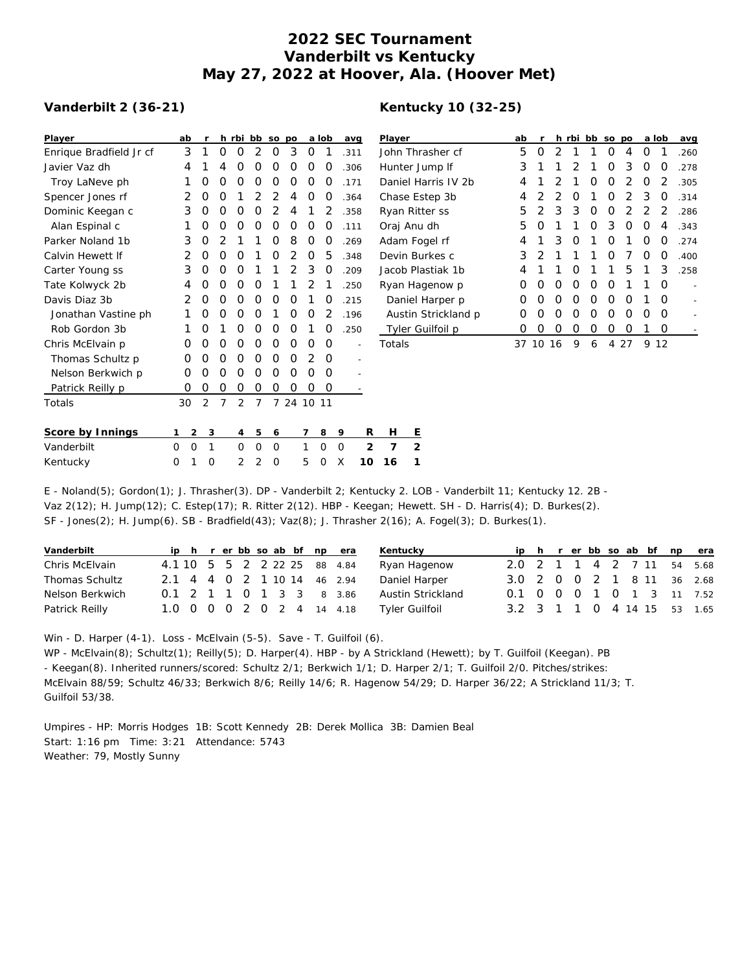# **2022 SEC Tournament Vanderbilt vs Kentucky May 27, 2022 at Hoover, Ala. (Hoover Met)**

### **Vanderbilt 2 (36-21)**

## **Kentucky 10 (32-25)**

| Player                  | ab       |          | r              | h              | rbi            | bb             | SO             | po             | a  | lob      |          | avg            | Player    |                |
|-------------------------|----------|----------|----------------|----------------|----------------|----------------|----------------|----------------|----|----------|----------|----------------|-----------|----------------|
| Enrique Bradfield Jr cf |          | 3        | 1              | O              | O              | 2              | O              | 3              | O  | 1        |          | .311           | John Thr  |                |
| Javier Vaz dh           |          | 4        | 1              | 4              | O              | O              | O              | Ο              | O  | O        |          | .306           | Hunter J  |                |
| Troy LaNeve ph          |          | 1        | Ο              | O              | O              | O              | O              | Ο              | O  | O        |          | .171           | Daniel H  |                |
| Spencer Jones rf        |          | 2        | 0              | O              | 1              | $\overline{2}$ | $\overline{2}$ | 4              | O  | O        |          | .364           | Chase Es  |                |
| Dominic Keegan c        |          | 3        | O              | O              | O              | O              | 2              | 4              | 1  | 2        |          | .358           | Ryan Rit  |                |
| Alan Espinal c          |          | 1        | $\Omega$       | O              | O              | O              | O              | O              | O  | O        |          | .111           | Oraj Anu  |                |
| Parker Noland 1b        |          | 3        | 0              | $\overline{2}$ | 1              | 1              | O              | 8              | O  | O        |          | .269           | Adam Fo   |                |
| Calvin Hewett If        |          | 2        | O              | O              | O              | 1              | O              | $\overline{2}$ | O  | 5        |          | .348           | Devin Bu  |                |
| Carter Young ss         |          | 3        | $\Omega$       | O              | O              | 1              | 1              | 2              | 3  | O        |          | .209           | Jacob Pla |                |
| Tate Kolwyck 2b         |          | 4        | O              | O              | O              | O              | 1              | 1              | 2  | 1        |          | .250           | Ryan Ha   |                |
| Davis Diaz 3b           |          | 2        | O              | O              | O              | O              | O              | Ο              | 1  | O        |          | .215           | Daniel    |                |
| Jonathan Vastine ph     |          | 1        | O              | O              | O              | O              | 1              | Ο              | O  | 2        |          | .196           | Austin    |                |
| Rob Gordon 3b           |          | 1        | O              | 1              | O              | O              | O              | O              | 1  | O        |          | .250           | Tyler G   |                |
| Chris McElvain p        |          | Ο        | O              | O              | O              | 0              | O              | O              | O  | O        |          |                | Totals    |                |
| Thomas Schultz p        |          | O        | 0              | 0              | Ο              | 0              | O              | O              | 2  | O        |          |                |           |                |
| Nelson Berkwich p       |          | 0        | 0              | O              | O              | 0              | O              | O              | O  | 0        |          |                |           |                |
| Patrick Reilly p        |          | 0        | 0              | 0              | 0              | 0              | 0              | O              | O  | O        |          |                |           |                |
| Totals                  | 30       |          | $\overline{2}$ | $\overline{7}$ | $\overline{2}$ | $\overline{7}$ | $\overline{7}$ | 24             | 10 | -11      |          |                |           |                |
| Score by Innings        | 1        | 2        | 3              |                | 4              | 5              | 6              |                | 7  | 8        | 9        | R              | Н         | Е              |
| Vanderbilt              | $\Omega$ | $\Omega$ | 1              |                | O              | $\Omega$       | 0              |                | 1  | $\Omega$ | $\Omega$ | $\mathfrak{D}$ | 7         | $\overline{2}$ |
| Kentucky                | 0        | 1        | Ω              |                | 2              | $\overline{2}$ | 0              |                | 5  | 0        | X        | 10             | 16        | 1              |

| Player              | ab | r             | h             | rbi           | bb | <b>SO</b> | <b>DO</b> |   | a lob            | avg  |
|---------------------|----|---------------|---------------|---------------|----|-----------|-----------|---|------------------|------|
| John Thrasher cf    | 5  | O             | 2             | 1             | 1  | O         | 4         | Ω | 1                | .260 |
| Hunter Jump If      | 3  | 1             | 1             | $\mathcal{P}$ | 1  | O         | 3         | Ω | O                | .278 |
| Daniel Harris IV 2b | 4  | 1             | $\mathcal{P}$ | 1             | Ω  | O         | 2         | Ω | 2                | .305 |
| Chase Estep 3b      | 4  | 2             | 2             | O             | 1  | O         | 2         | 3 | O                | .314 |
| Ryan Ritter ss      | 5  | $\mathcal{P}$ | 3             | 3             | Ω  | Ω         | 2         | 2 | 2                | .286 |
| Oraj Anu dh         | 5  | O             | 1             | 1             | Ω  | 3         | Ο         | Ω | 4                | .343 |
| Adam Fogel rf       | 4  | 1             | 3             | $\Omega$      | 1  | $\Omega$  | 1         | Ω | O                | .274 |
| Devin Burkes c      | 3  | 2             | 1             | 1             | 1  | Ω         | 7         | O | $\left( \right)$ | .400 |
| Jacob Plastiak 1b   | 4  | 1             | 1             | O             | 1  | 1         | 5         | 1 | 3                | .258 |
| Ryan Hagenow p      | Ω  | O             | Ω             | Ω             | Ω  | Ω         | 1         | 1 | O                |      |
| Daniel Harper p     | Ω  | O             | O             | Ω             | O  | O         | Ω         |   | O                |      |
| Austin Strickland p | Ω  | ∩             | Ω             | Ω             | Ω  | ∩         | Ω         | Ω | Ω                |      |
| Tyler Guilfoil p    | Ω  | Ω             | Ω             | Ω             | Ο  | Ω         | Ω         |   | Ω                |      |
| Totals              | 37 | 10            | 16            | 9             | 6  | 4         | 27        | 9 | 12               |      |

E - Noland(5); Gordon(1); J. Thrasher(3). DP - Vanderbilt 2; Kentucky 2. LOB - Vanderbilt 11; Kentucky 12. 2B - Vaz 2(12); H. Jump(12); C. Estep(17); R. Ritter 2(12). HBP - Keegan; Hewett. SH - D. Harris(4); D. Burkes(2). SF - Jones(2); H. Jump(6). SB - Bradfield(43); Vaz(8); J. Thrasher 2(16); A. Fogel(3); D. Burkes(1).

| Vanderbilt      |  |  |  |  | ip h r er bb so ab bf np era    | Kentucky          |                             |  |  |  |  | ip h r er bb so ab bf np era |
|-----------------|--|--|--|--|---------------------------------|-------------------|-----------------------------|--|--|--|--|------------------------------|
| Chris McElvain  |  |  |  |  | 4.1 10 5 5 2 2 2 2 2 2 8 8 4.84 | Ryan Hagenow      | 2.0 2 1 1 4 2 7 11 54 5.68  |  |  |  |  |                              |
| Thomas Schultz  |  |  |  |  | 2.1 4 4 0 2 1 10 14 46 2.94     | Daniel Harper     | 3.0 2 0 0 2 1 8 11 36 2.68  |  |  |  |  |                              |
| Nelson Berkwich |  |  |  |  | 0.1 2 1 1 0 1 3 3 8 3.86        | Austin Strickland | 0.1 0 0 0 1 0 1 3 11 7.52   |  |  |  |  |                              |
| Patrick Reilly  |  |  |  |  | 1.0 0 0 0 2 0 2 4 14 4.18       | Tyler Guilfoil    | 3.2 3 1 1 0 4 14 15 53 1.65 |  |  |  |  |                              |

Win - D. Harper (4-1). Loss - McElvain (5-5). Save - T. Guilfoil (6). WP - McElvain(8); Schultz(1); Reilly(5); D. Harper(4). HBP - by A Strickland (Hewett); by T. Guilfoil (Keegan). PB - Keegan(8). Inherited runners/scored: Schultz 2/1; Berkwich 1/1; D. Harper 2/1; T. Guilfoil 2/0. Pitches/strikes: McElvain 88/59; Schultz 46/33; Berkwich 8/6; Reilly 14/6; R. Hagenow 54/29; D. Harper 36/22; A Strickland 11/3; T. Guilfoil 53/38.

Umpires - HP: Morris Hodges 1B: Scott Kennedy 2B: Derek Mollica 3B: Damien Beal Start: 1:16 pm Time: 3:21 Attendance: 5743 Weather: 79, Mostly Sunny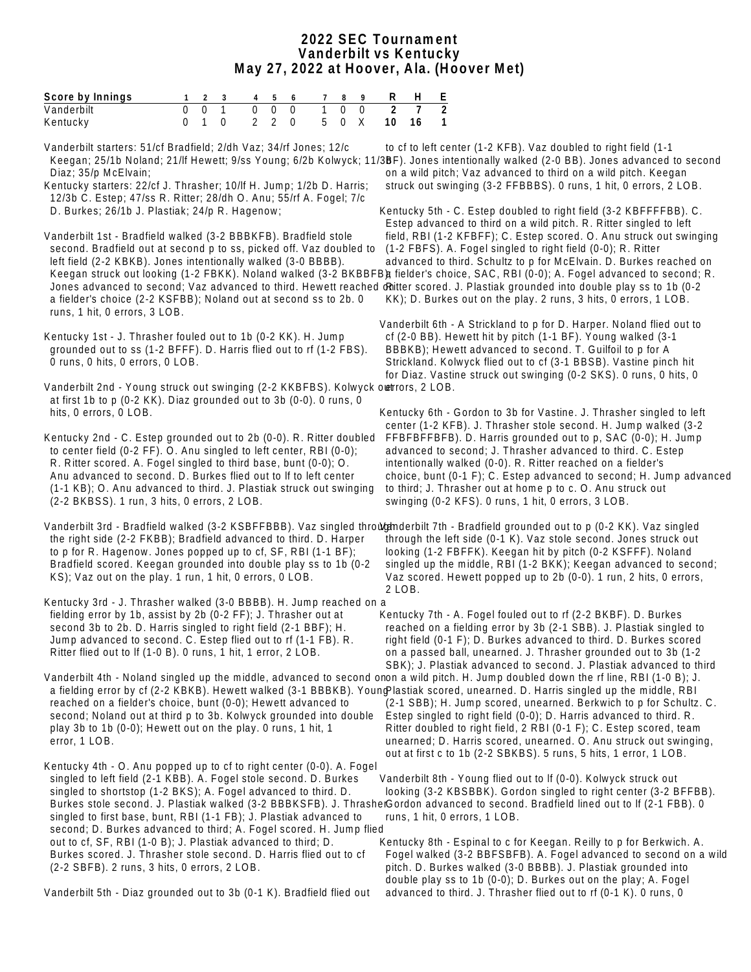#### **2022 SEC Tournament Vanderbilt vs Kentucky May 27, 2022 at Hoover, Ala. (Hoover Met)**

| Score by Innings |  |  |  |  |  | 123 456 789 RHE           |  |
|------------------|--|--|--|--|--|---------------------------|--|
| Vanderbilt       |  |  |  |  |  | 0 0 1 0 0 0 1 0 0 2 7 2   |  |
| Kentucky         |  |  |  |  |  | 0 1 0 2 2 0 5 0 X 10 16 1 |  |

Vanderbilt starters: 51/cf Bradfield; 2/dh Vaz; 34/rf Jones; 12/c Keegan; 25/1b Noland; 21/lf Hewett; 9/ss Young; 6/2b Kolwyck; 11/3BF). Jones intentionally walked (2-0 BB). Jones advanced to second Diaz; 35/p McElvain; Kentucky starters: 22/cf J. Thrasher; 10/lf H. Jump; 1/2b D. Harris; 12/3b C. Estep; 47/ss R. Ritter; 28/dh O. Anu; 55/rf A. Fogel; 7/c D. Burkes; 26/1b J. Plastiak; 24/p R. Hagenow; Vanderbilt 1st - Bradfield walked (3-2 BBBKFB). Bradfield stole second. Bradfield out at second p to ss, picked off. Vaz doubled to left field (2-2 KBKB). Jones intentionally walked (3-0 BBBB). Keegan struck out looking (1-2 FBKK). Noland walked (3-2 BKBBFB) fielder's choice, SAC, RBI (0-0); A. Fogel advanced to second; R. Jones advanced to second; Vaz advanced to third. Hewett reached dritter scored. J. Plastiak grounded into double play ss to 1b (0-2 a fielder's choice (2-2 KSFBB); Noland out at second ss to 2b. 0 runs, 1 hit, 0 errors, 3 LOB. Kentucky 1st - J. Thrasher fouled out to 1b (0-2 KK). H. Jump grounded out to ss (1-2 BFFF). D. Harris flied out to rf (1-2 FBS). 0 runs, 0 hits, 0 errors, 0 LOB. Vanderbilt 2nd - Young struck out swinging (2-2 KKBFBS). Kolwyck owerrors, 2 LOB. at first 1b to p (0-2 KK). Diaz grounded out to 3b (0-0). 0 runs, 0 hits, 0 errors, 0 LOB. Kentucky 2nd - C. Estep grounded out to 2b (0-0). R. Ritter doubled to center field (0-2 FF). O. Anu singled to left center, RBI (0-0); R. Ritter scored. A. Fogel singled to third base, bunt (0-0); O. Anu advanced to second. D. Burkes flied out to lf to left center (1-1 KB); O. Anu advanced to third. J. Plastiak struck out swinging (2-2 BKBSS). 1 run, 3 hits, 0 errors, 2 LOB. Vanderbilt 3rd - Bradfield walked (3-2 KSBFFBBB). Vaz singled throughnderbilt 7th - Bradfield grounded out to p (0-2 KK). Vaz singled the right side (2-2 FKBB); Bradfield advanced to third. D. Harper to p for R. Hagenow. Jones popped up to cf, SF, RBI (1-1 BF); Bradfield scored. Keegan grounded into double play ss to 1b (0-2 KS); Vaz out on the play. 1 run, 1 hit, 0 errors, 0 LOB. Kentucky 3rd - J. Thrasher walked (3-0 BBBB). H. Jump reached on a fielding error by 1b, assist by 2b (0-2 FF); J. Thrasher out at second 3b to 2b. D. Harris singled to right field (2-1 BBF); H. Jump advanced to second. C. Estep flied out to rf (1-1 FB). R. Ritter flied out to lf (1-0 B). 0 runs, 1 hit, 1 error, 2 LOB. Vanderbilt 4th - Noland singled up the middle, advanced to second onon a wild pitch. H. Jump doubled down the rf line, RBI (1-0 B); J. a fielding error by cf (2-2 KBKB). Hewett walked (3-1 BBBKB). Young lastiak scored, unearned. D. Harris singled up the middle, RBI reached on a fielder's choice, bunt (0-0); Hewett advanced to second; Noland out at third p to 3b. Kolwyck grounded into double play 3b to 1b (0-0); Hewett out on the play. 0 runs, 1 hit, 1 error, 1 LOB. Kentucky 4th - O. Anu popped up to cf to right center (0-0). A. Fogel singled to left field (2-1 KBB). A. Fogel stole second. D. Burkes singled to shortstop (1-2 BKS); A. Fogel advanced to third. D. Burkes stole second. J. Plastiak walked (3-2 BBBKSFB). J. ThrasherGordon advanced to second. Bradfield lined out to If (2-1 FBB). 0 singled to first base, bunt, RBI (1-1 FB); J. Plastiak advanced to second; D. Burkes advanced to third; A. Fogel scored. H. Jump flied out to cf, SF, RBI (1-0 B); J. Plastiak advanced to third; D. Burkes scored. J. Thrasher stole second. D. Harris flied out to cf (2-2 SBFB). 2 runs, 3 hits, 0 errors, 2 LOB. to cf to left center (1-2 KFB). Vaz doubled to right field (1-1 on a wild pitch; Vaz advanced to third on a wild pitch. Keegan struck out swinging (3-2 FFBBBS). 0 runs, 1 hit, 0 errors, 2 LOB. Kentucky 5th - C. Estep doubled to right field (3-2 KBFFFFBB). C. Estep advanced to third on a wild pitch. R. Ritter singled to left field, RBI (1-2 KFBFF); C. Estep scored. O. Anu struck out swinging (1-2 FBFS). A. Fogel singled to right field (0-0); R. Ritter advanced to third. Schultz to p for McElvain. D. Burkes reached on KK); D. Burkes out on the play. 2 runs, 3 hits, 0 errors, 1 LOB. Vanderbilt 6th - A Strickland to p for D. Harper. Noland flied out to cf (2-0 BB). Hewett hit by pitch (1-1 BF). Young walked (3-1 BBBKB); Hewett advanced to second. T. Guilfoil to p for A Strickland. Kolwyck flied out to cf (3-1 BBSB). Vastine pinch hit for Diaz. Vastine struck out swinging (0-2 SKS). 0 runs, 0 hits, 0 Kentucky 6th - Gordon to 3b for Vastine. J. Thrasher singled to left center (1-2 KFB). J. Thrasher stole second. H. Jump walked (3-2 FFBFBFFBFB). D. Harris grounded out to p, SAC (0-0); H. Jump advanced to second; J. Thrasher advanced to third. C. Estep intentionally walked (0-0). R. Ritter reached on a fielder's choice, bunt (0-1 F); C. Estep advanced to second; H. Jump advanced to third; J. Thrasher out at home p to c. O. Anu struck out swinging (0-2 KFS). 0 runs, 1 hit, 0 errors, 3 LOB. through the left side (0-1 K). Vaz stole second. Jones struck out looking (1-2 FBFFK). Keegan hit by pitch (0-2 KSFFF). Noland singled up the middle, RBI (1-2 BKK); Keegan advanced to second; Vaz scored. Hewett popped up to 2b (0-0). 1 run, 2 hits, 0 errors, 2 LOB. Kentucky 7th - A. Fogel fouled out to rf (2-2 BKBF). D. Burkes reached on a fielding error by 3b (2-1 SBB). J. Plastiak singled to right field (0-1 F); D. Burkes advanced to third. D. Burkes scored on a passed ball, unearned. J. Thrasher grounded out to 3b (1-2 SBK); J. Plastiak advanced to second. J. Plastiak advanced to third (2-1 SBB); H. Jump scored, unearned. Berkwich to p for Schultz. C. Estep singled to right field (0-0); D. Harris advanced to third. R. Ritter doubled to right field, 2 RBI (0-1 F); C. Estep scored, team unearned; D. Harris scored, unearned. O. Anu struck out swinging, out at first c to 1b (2-2 SBKBS). 5 runs, 5 hits, 1 error, 1 LOB. Vanderbilt 8th - Young flied out to lf (0-0). Kolwyck struck out looking (3-2 KBSBBK). Gordon singled to right center (3-2 BFFBB). runs, 1 hit, 0 errors, 1 LOB. Kentucky 8th - Espinal to c for Keegan. Reilly to p for Berkwich. A. Fogel walked (3-2 BBFSBFB). A. Fogel advanced to second on a wild pitch. D. Burkes walked (3-0 BBBB). J. Plastiak grounded into

Vanderbilt 5th - Diaz grounded out to 3b (0-1 K). Bradfield flied out

 double play ss to 1b (0-0); D. Burkes out on the play; A. Fogel advanced to third. J. Thrasher flied out to rf (0-1 K). 0 runs, 0